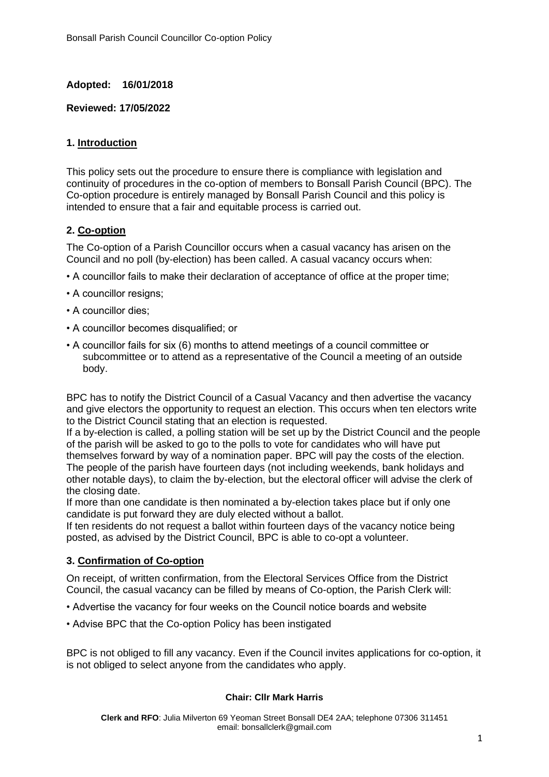# **Adopted: 16/01/2018**

## **Reviewed: 17/05/2022**

## **1. Introduction**

This policy sets out the procedure to ensure there is compliance with legislation and continuity of procedures in the co-option of members to Bonsall Parish Council (BPC). The Co-option procedure is entirely managed by Bonsall Parish Council and this policy is intended to ensure that a fair and equitable process is carried out.

## **2. Co-option**

The Co-option of a Parish Councillor occurs when a casual vacancy has arisen on the Council and no poll (by-election) has been called. A casual vacancy occurs when:

- A councillor fails to make their declaration of acceptance of office at the proper time;
- A councillor resigns;
- A councillor dies;
- A councillor becomes disqualified; or
- A councillor fails for six (6) months to attend meetings of a council committee or subcommittee or to attend as a representative of the Council a meeting of an outside body.

BPC has to notify the District Council of a Casual Vacancy and then advertise the vacancy and give electors the opportunity to request an election. This occurs when ten electors write to the District Council stating that an election is requested.

If a by-election is called, a polling station will be set up by the District Council and the people of the parish will be asked to go to the polls to vote for candidates who will have put themselves forward by way of a nomination paper. BPC will pay the costs of the election. The people of the parish have fourteen days (not including weekends, bank holidays and other notable days), to claim the by-election, but the electoral officer will advise the clerk of the closing date.

If more than one candidate is then nominated a by-election takes place but if only one candidate is put forward they are duly elected without a ballot.

If ten residents do not request a ballot within fourteen days of the vacancy notice being posted, as advised by the District Council, BPC is able to co-opt a volunteer.

# **3. Confirmation of Co-option**

On receipt, of written confirmation, from the Electoral Services Office from the District Council, the casual vacancy can be filled by means of Co-option, the Parish Clerk will:

- Advertise the vacancy for four weeks on the Council notice boards and website
- Advise BPC that the Co-option Policy has been instigated

BPC is not obliged to fill any vacancy. Even if the Council invites applications for co-option, it is not obliged to select anyone from the candidates who apply.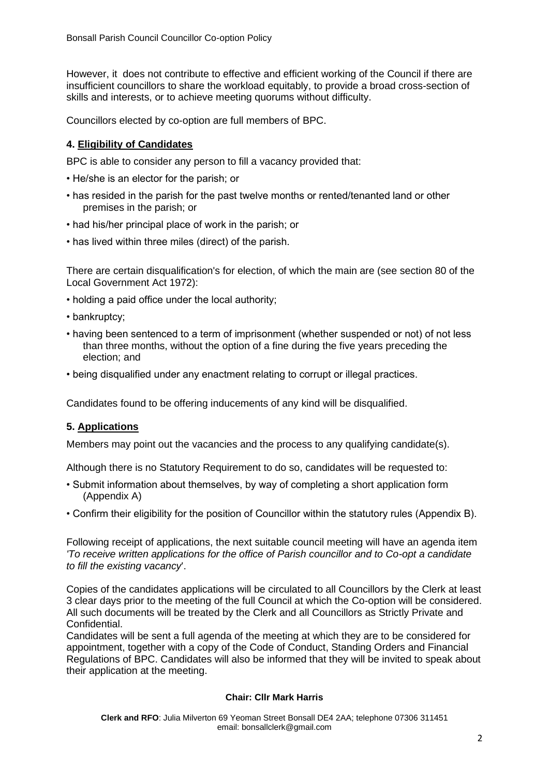However, it does not contribute to effective and efficient working of the Council if there are insufficient councillors to share the workload equitably, to provide a broad cross-section of skills and interests, or to achieve meeting quorums without difficulty.

Councillors elected by co-option are full members of BPC.

## **4. Eligibility of Candidates**

BPC is able to consider any person to fill a vacancy provided that:

- He/she is an elector for the parish; or
- has resided in the parish for the past twelve months or rented/tenanted land or other premises in the parish; or
- had his/her principal place of work in the parish; or
- has lived within three miles (direct) of the parish.

There are certain disqualification's for election, of which the main are (see section 80 of the Local Government Act 1972):

- holding a paid office under the local authority;
- bankruptcy;
- having been sentenced to a term of imprisonment (whether suspended or not) of not less than three months, without the option of a fine during the five years preceding the election; and
- being disqualified under any enactment relating to corrupt or illegal practices.

Candidates found to be offering inducements of any kind will be disqualified.

## **5. Applications**

Members may point out the vacancies and the process to any qualifying candidate(s).

Although there is no Statutory Requirement to do so, candidates will be requested to:

- Submit information about themselves, by way of completing a short application form (Appendix A)
- Confirm their eligibility for the position of Councillor within the statutory rules (Appendix B).

Following receipt of applications, the next suitable council meeting will have an agenda item *'To receive written applications for the office of Parish councillor and to Co-opt a candidate to fill the existing vacancy*'.

Copies of the candidates applications will be circulated to all Councillors by the Clerk at least 3 clear days prior to the meeting of the full Council at which the Co-option will be considered. All such documents will be treated by the Clerk and all Councillors as Strictly Private and Confidential.

Candidates will be sent a full agenda of the meeting at which they are to be considered for appointment, together with a copy of the Code of Conduct, Standing Orders and Financial Regulations of BPC. Candidates will also be informed that they will be invited to speak about their application at the meeting.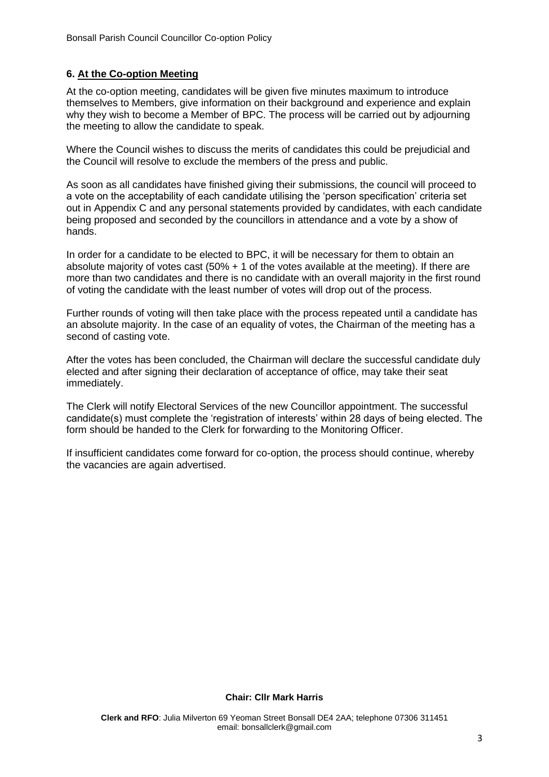## **6. At the Co-option Meeting**

At the co-option meeting, candidates will be given five minutes maximum to introduce themselves to Members, give information on their background and experience and explain why they wish to become a Member of BPC. The process will be carried out by adjourning the meeting to allow the candidate to speak.

Where the Council wishes to discuss the merits of candidates this could be prejudicial and the Council will resolve to exclude the members of the press and public.

As soon as all candidates have finished giving their submissions, the council will proceed to a vote on the acceptability of each candidate utilising the 'person specification' criteria set out in Appendix C and any personal statements provided by candidates, with each candidate being proposed and seconded by the councillors in attendance and a vote by a show of hands.

In order for a candidate to be elected to BPC, it will be necessary for them to obtain an absolute majority of votes cast (50% + 1 of the votes available at the meeting). If there are more than two candidates and there is no candidate with an overall majority in the first round of voting the candidate with the least number of votes will drop out of the process.

Further rounds of voting will then take place with the process repeated until a candidate has an absolute majority. In the case of an equality of votes, the Chairman of the meeting has a second of casting vote.

After the votes has been concluded, the Chairman will declare the successful candidate duly elected and after signing their declaration of acceptance of office, may take their seat immediately.

The Clerk will notify Electoral Services of the new Councillor appointment. The successful candidate(s) must complete the 'registration of interests' within 28 days of being elected. The form should be handed to the Clerk for forwarding to the Monitoring Officer.

If insufficient candidates come forward for co-option, the process should continue, whereby the vacancies are again advertised.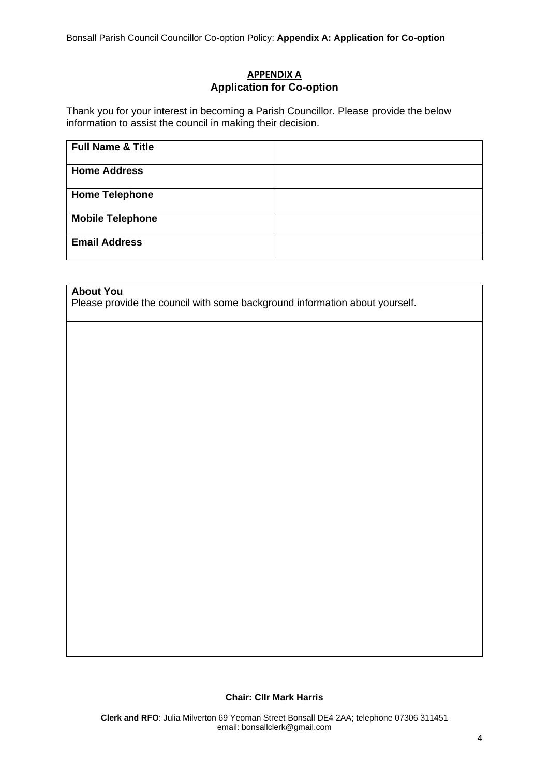Bonsall Parish Council Councillor Co-option Policy: **Appendix A: Application for Co-option**

## **APPENDIX A Application for Co-option**

Thank you for your interest in becoming a Parish Councillor. Please provide the below information to assist the council in making their decision.

| <b>Full Name &amp; Title</b> |  |
|------------------------------|--|
| <b>Home Address</b>          |  |
| <b>Home Telephone</b>        |  |
| <b>Mobile Telephone</b>      |  |
| <b>Email Address</b>         |  |

# **About You**

Please provide the council with some background information about yourself.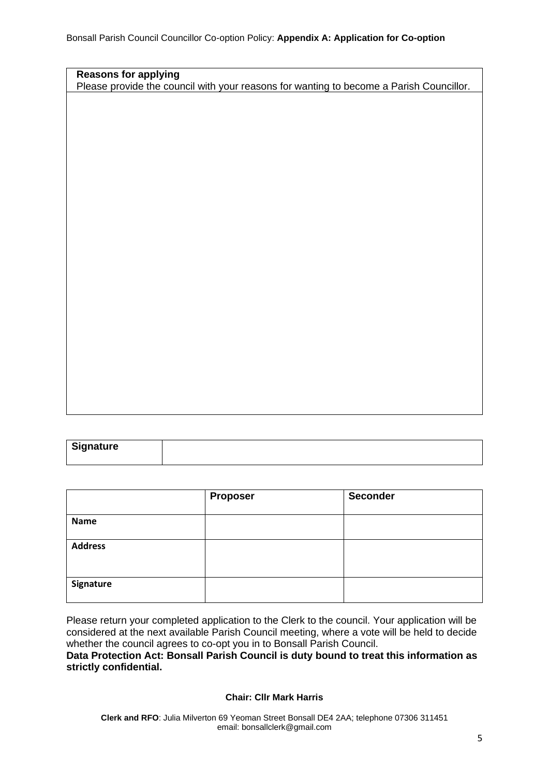**Reasons for applying** 

| Please provide the council with your reasons for wanting to become a Parish Councillor. |  |  |
|-----------------------------------------------------------------------------------------|--|--|
|                                                                                         |  |  |
|                                                                                         |  |  |
|                                                                                         |  |  |
|                                                                                         |  |  |
|                                                                                         |  |  |
|                                                                                         |  |  |
|                                                                                         |  |  |
|                                                                                         |  |  |
|                                                                                         |  |  |
|                                                                                         |  |  |
|                                                                                         |  |  |
|                                                                                         |  |  |
|                                                                                         |  |  |
|                                                                                         |  |  |
|                                                                                         |  |  |
|                                                                                         |  |  |
|                                                                                         |  |  |
|                                                                                         |  |  |
|                                                                                         |  |  |
|                                                                                         |  |  |
|                                                                                         |  |  |

| Signature |  |
|-----------|--|
|           |  |

|                | <b>Proposer</b> | Seconder |
|----------------|-----------------|----------|
| Name           |                 |          |
| <b>Address</b> |                 |          |
| Signature      |                 |          |

Please return your completed application to the Clerk to the council. Your application will be considered at the next available Parish Council meeting, where a vote will be held to decide whether the council agrees to co-opt you in to Bonsall Parish Council. **Data Protection Act: Bonsall Parish Council is duty bound to treat this information as** 

**strictly confidential.**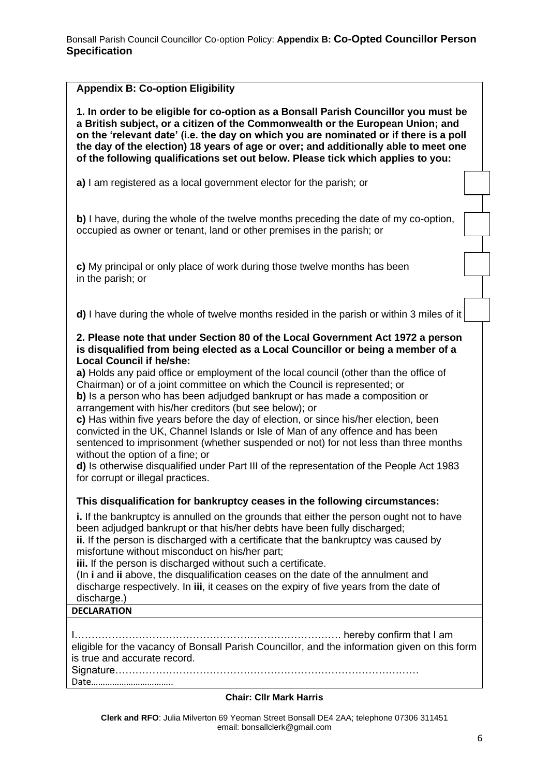## **Appendix B: Co-option Eligibility**

**1. In order to be eligible for co-option as a Bonsall Parish Councillor you must be a British subject, or a citizen of the Commonwealth or the European Union; and on the 'relevant date' (i.e. the day on which you are nominated or if there is a poll the day of the election) 18 years of age or over; and additionally able to meet one of the following qualifications set out below. Please tick which applies to you:**

**a)** I am registered as a local government elector for the parish; or

**b)** I have, during the whole of the twelve months preceding the date of my co-option, occupied as owner or tenant, land or other premises in the parish; or

**c)** My principal or only place of work during those twelve months has been in the parish; or

**d)** I have during the whole of twelve months resided in the parish or within 3 miles of it

### **2. Please note that under Section 80 of the Local Government Act 1972 a person is disqualified from being elected as a Local Councillor or being a member of a Local Council if he/she:**

**a)** Holds any paid office or employment of the local council (other than the office of Chairman) or of a joint committee on which the Council is represented; or

**b)** Is a person who has been adjudged bankrupt or has made a composition or arrangement with his/her creditors (but see below); or

**c)** Has within five years before the day of election, or since his/her election, been convicted in the UK, Channel Islands or Isle of Man of any offence and has been sentenced to imprisonment (whether suspended or not) for not less than three months without the option of a fine; or

**d)** Is otherwise disqualified under Part III of the representation of the People Act 1983 for corrupt or illegal practices.

## **This disqualification for bankruptcy ceases in the following circumstances:**

**i.** If the bankruptcy is annulled on the grounds that either the person ought not to have been adjudged bankrupt or that his/her debts have been fully discharged;

**ii.** If the person is discharged with a certificate that the bankruptcy was caused by misfortune without misconduct on his/her part;

**iii.** If the person is discharged without such a certificate.

(In **i** and **ii** above, the disqualification ceases on the date of the annulment and discharge respectively. In **iii**, it ceases on the expiry of five years from the date of discharge.)

## **DECLARATION**

I……………………………………………………………………. hereby confirm that I am eligible for the vacancy of Bonsall Parish Councillor, and the information given on this form is true and accurate record. Signature……………………………………………………………………………… Date……………………………..

#### **Chair: Cllr Mark Harris**

**Clerk and RFO**: Julia Milverton 69 Yeoman Street Bonsall DE4 2AA; telephone 07306 311451 email: bonsallclerk@gmail.com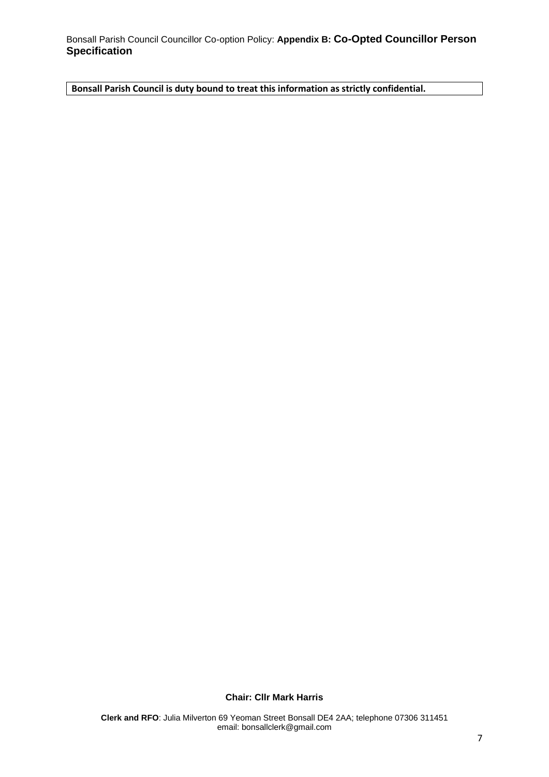Bonsall Parish Council Councillor Co-option Policy: **Appendix B: Co-Opted Councillor Person Specification**

**Bonsall Parish Council is duty bound to treat this information as strictly confidential.**

**Chair: Cllr Mark Harris**

**Clerk and RFO**: Julia Milverton 69 Yeoman Street Bonsall DE4 2AA; telephone 07306 311451 email: bonsallclerk@gmail.com